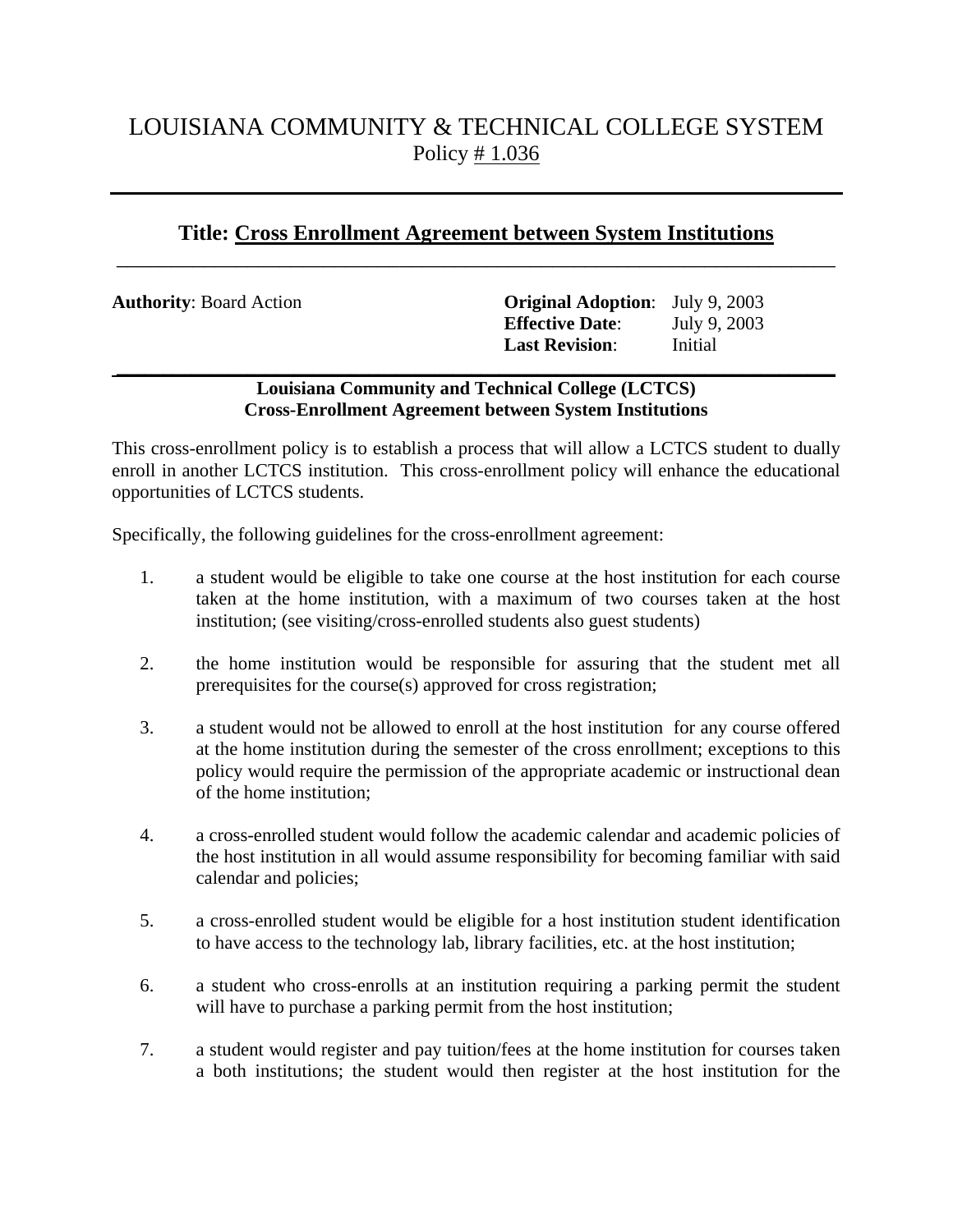## LOUISIANA COMMUNITY & TECHNICAL COLLEGE SYSTEM Policy # 1.036

## **Title: Cross Enrollment Agreement between System Institutions**  $\overline{\phantom{a}}$  , and the contribution of the contribution of the contribution of the contribution of the contribution of the contribution of the contribution of the contribution of the contribution of the contribution of the

| <b>Authority: Board Action</b> | <b>Original Adoption:</b> July 9, 2003<br><b>Effective Date:</b><br><b>Last Revision:</b> | July 9, 2003<br>Initial |
|--------------------------------|-------------------------------------------------------------------------------------------|-------------------------|
|                                |                                                                                           |                         |

## **Louisiana Community and Technical College (LCTCS) Cross-Enrollment Agreement between System Institutions**

This cross-enrollment policy is to establish a process that will allow a LCTCS student to dually enroll in another LCTCS institution. This cross-enrollment policy will enhance the educational opportunities of LCTCS students.

Specifically, the following guidelines for the cross-enrollment agreement:

- 1. a student would be eligible to take one course at the host institution for each course taken at the home institution, with a maximum of two courses taken at the host institution; (see visiting/cross-enrolled students also guest students)
- 2. the home institution would be responsible for assuring that the student met all prerequisites for the course(s) approved for cross registration;
- 3. a student would not be allowed to enroll at the host institution for any course offered at the home institution during the semester of the cross enrollment; exceptions to this policy would require the permission of the appropriate academic or instructional dean of the home institution;
- 4. a cross-enrolled student would follow the academic calendar and academic policies of the host institution in all would assume responsibility for becoming familiar with said calendar and policies;
- 5. a cross-enrolled student would be eligible for a host institution student identification to have access to the technology lab, library facilities, etc. at the host institution;
- 6. a student who cross-enrolls at an institution requiring a parking permit the student will have to purchase a parking permit from the host institution;
- 7. a student would register and pay tuition/fees at the home institution for courses taken a both institutions; the student would then register at the host institution for the